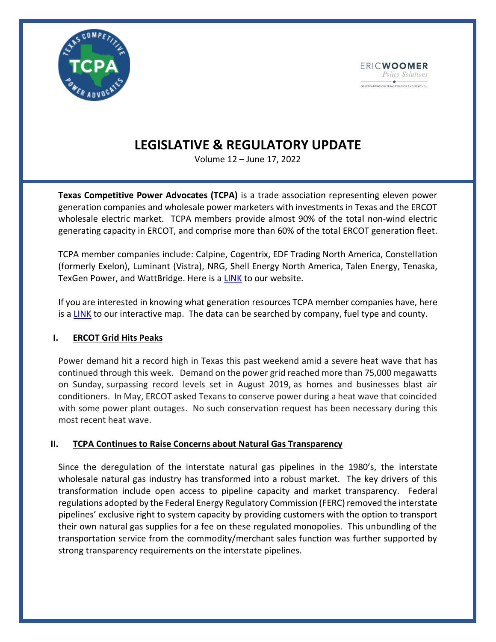

# **LEGISLATIVE & REGULATORY UPDATE**

Volume 12 – June 17, 2022

**Texas Competitive Power Advocates (TCPA)** is a trade association representing eleven power generation companies and wholesale power marketers with investments in Texas and the ERCOT wholesale electric market. TCPA members provide almost 90% of the total non-wind electric generating capacity in ERCOT, and comprise more than 60% of the total ERCOT generation fleet.

TCPA member companies include: Calpine, Cogentrix, EDF Trading North America, Constellation (formerly Exelon), Luminant (Vistra), NRG, Shell Energy North America, Talen Energy, Tenaska, TexGen Power, and WattBridge. Here is a [LINK](https://competitivepower.org/) to our website.

If you are interested in knowing what generation resources TCPA member companies have, here is a [LINK](https://competitivepower.org/map/) to our interactive map. The data can be searched by company, fuel type and county.

### **I. ERCOT Grid Hits Peaks**

Power demand hit a record high in Texas this past weekend amid a severe heat wave that has continued through this week. Demand on the power grid reached more than 75,000 megawatts on Sunday, surpassing record levels set in August 2019, as homes and businesses blast air conditioners. In May, ERCOT asked Texans to conserve power during a heat wave that coincided with some power plant outages. No such conservation request has been necessary during this most recent heat wave.

# **II. TCPA Continues to Raise Concerns about Natural Gas Transparency**

Since the deregulation of the interstate natural gas pipelines in the 1980's, the interstate wholesale natural gas industry has transformed into a robust market. The key drivers of this transformation include open access to pipeline capacity and market transparency. Federal regulations adopted by the Federal Energy Regulatory Commission (FERC) removed the interstate pipelines' exclusive right to system capacity by providing customers with the option to transport their own natural gas supplies for a fee on these regulated monopolies. This unbundling of the transportation service from the commodity/merchant sales function was further supported by strong transparency requirements on the interstate pipelines.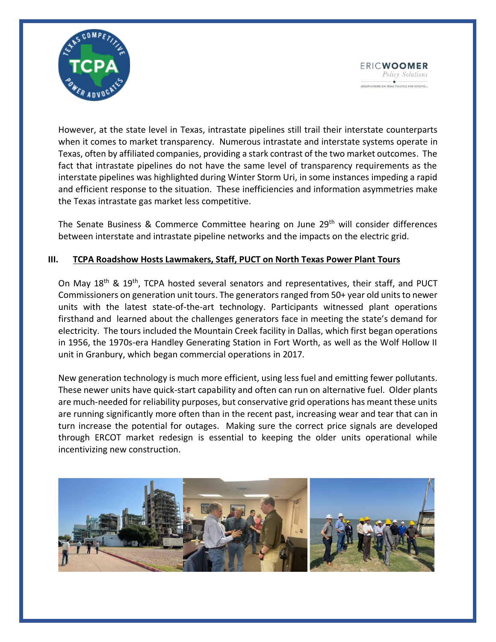

**ERICWOOMER** Policy Solutions OBSERVATIONS ON TEXAS POLITICS AND BEYOND...

However, at the state level in Texas, intrastate pipelines still trail their interstate counterparts when it comes to market transparency. Numerous intrastate and interstate systems operate in Texas, often by affiliated companies, providing a stark contrast of the two market outcomes. The fact that intrastate pipelines do not have the same level of transparency requirements as the interstate pipelines was highlighted during Winter Storm Uri, in some instances impeding a rapid and efficient response to the situation. These inefficiencies and information asymmetries make the Texas intrastate gas market less competitive.

The Senate Business & Commerce Committee hearing on June 29<sup>th</sup> will consider differences between interstate and intrastate pipeline networks and the impacts on the electric grid.

### **III. TCPA Roadshow Hosts Lawmakers, Staff, PUCT on North Texas Power Plant Tours**

On May  $18<sup>th</sup>$  &  $19<sup>th</sup>$ , TCPA hosted several senators and representatives, their staff, and PUCT Commissioners on generation unit tours. The generators ranged from 50+ year old units to newer units with the latest state-of-the-art technology. Participants witnessed plant operations firsthand and learned about the challenges generators face in meeting the state's demand for electricity. The tours included the Mountain Creek facility in Dallas, which first began operations in 1956, the 1970s-era Handley Generating Station in Fort Worth, as well as the Wolf Hollow II unit in Granbury, which began commercial operations in 2017.

New generation technology is much more efficient, using less fuel and emitting fewer pollutants. These newer units have quick-start capability and often can run on alternative fuel. Older plants are much-needed for reliability purposes, but conservative grid operations has meant these units are running significantly more often than in the recent past, increasing wear and tear that can in turn increase the potential for outages. Making sure the correct price signals are developed through ERCOT market redesign is essential to keeping the older units operational while incentivizing new construction.

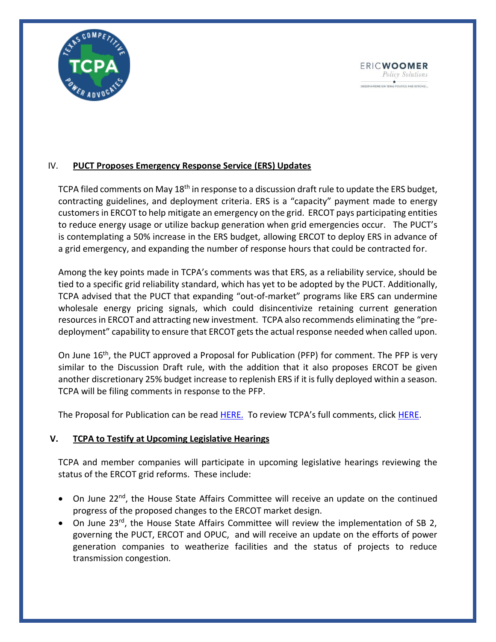

**ERICWOOMER** Policy Solutions OBSERVATIONS ON TEXAS POLITICS AND BEYOND.

# IV. **PUCT Proposes Emergency Response Service (ERS) Updates**

TCPA filed comments on May 18<sup>th</sup> in response to a discussion draft rule to update the ERS budget, contracting guidelines, and deployment criteria. ERS is a "capacity" payment made to energy customers in ERCOT to help mitigate an emergency on the grid. ERCOT pays participating entities to reduce energy usage or utilize backup generation when grid emergencies occur. The PUCT's is contemplating a 50% increase in the ERS budget, allowing ERCOT to deploy ERS in advance of a grid emergency, and expanding the number of response hours that could be contracted for.

Among the key points made in TCPA's comments was that ERS, as a reliability service, should be tied to a specific grid reliability standard, which has yet to be adopted by the PUCT. Additionally, TCPA advised that the PUCT that expanding "out-of-market" programs like ERS can undermine wholesale energy pricing signals, which could disincentivize retaining current generation resources in ERCOT and attracting new investment. TCPA also recommends eliminating the "predeployment" capability to ensure that ERCOT gets the actual response needed when called upon.

On June 16<sup>th</sup>, the PUCT approved a Proposal for Publication (PFP) for comment. The PFP is very similar to the Discussion Draft rule, with the addition that it also proposes ERCOT be given another discretionary 25% budget increase to replenish ERS if it is fully deployed within a season. TCPA will be filing comments in response to the PFP.

The Proposal for Publication can be read [HERE.](https://interchange.puc.texas.gov/Documents/53493_22_1216233.PDF) To review TCPA's full comments, click [HERE.](https://competitivepower.org/wp-content/uploads/2022/06/53493-Discussion-Draft-TCPA-Comments-DRAFT-20220518-Final.docx)

# **V. TCPA to Testify at Upcoming Legislative Hearings**

TCPA and member companies will participate in upcoming legislative hearings reviewing the status of the ERCOT grid reforms. These include:

- On June 22<sup>nd</sup>, the House State Affairs Committee will receive an update on the continued progress of the proposed changes to the ERCOT market design.
- On June 23<sup>rd</sup>, the House State Affairs Committee will review the implementation of SB 2, governing the PUCT, ERCOT and OPUC, and will receive an update on the efforts of power generation companies to weatherize facilities and the status of projects to reduce transmission congestion.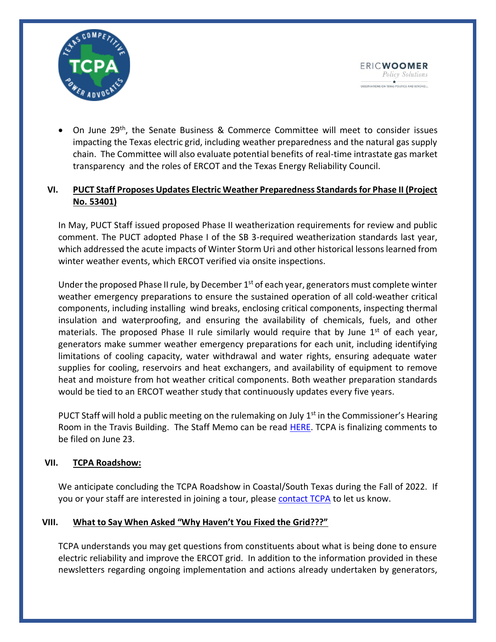

**ERICWOOMER** Policy Solutions OBSERVATIONS ON TEXAS POLITICS AND BEYOND.

• On June 29th, the Senate Business & Commerce Committee will meet to consider issues impacting the Texas electric grid, including weather preparedness and the natural gas supply chain. The Committee will also evaluate potential benefits of real-time intrastate gas market transparency and the roles of ERCOT and the Texas Energy Reliability Council.

# **VI. PUCT Staff Proposes Updates Electric Weather Preparedness Standards for Phase II (Project No. 53401)**

In May, PUCT Staff issued proposed Phase II weatherization requirements for review and public comment. The PUCT adopted Phase I of the SB 3-required weatherization standards last year, which addressed the acute impacts of Winter Storm Uri and other historical lessons learned from winter weather events, which ERCOT verified via onsite inspections.

Under the proposed Phase II rule, by December  $1<sup>st</sup>$  of each year, generators must complete winter weather emergency preparations to ensure the sustained operation of all cold-weather critical components, including installing wind breaks, enclosing critical components, inspecting thermal insulation and waterproofing, and ensuring the availability of chemicals, fuels, and other materials. The proposed Phase II rule similarly would require that by June  $1<sup>st</sup>$  of each year, generators make summer weather emergency preparations for each unit, including identifying limitations of cooling capacity, water withdrawal and water rights, ensuring adequate water supplies for cooling, reservoirs and heat exchangers, and availability of equipment to remove heat and moisture from hot weather critical components. Both weather preparation standards would be tied to an ERCOT weather study that continuously updates every five years.

PUCT Staff will hold a public meeting on the rulemaking on July  $1<sup>st</sup>$  in the Commissioner's Hearing Room in the Travis Building. The Staff Memo can be read **HERE**. TCPA is finalizing comments to be filed on June 23.

### **VII. TCPA Roadshow:**

We anticipate concluding the TCPA Roadshow in Coastal/South Texas during the Fall of 2022. If you or your staff are interested in joining a tour, pleas[e contact TCPA](mailto:michele@competitivepower.org?subject=TCPA%20Generation%20Facility%20Tour) to let us know.

### **VIII. What to Say When Asked "Why Haven't You Fixed the Grid???"**

TCPA understands you may get questions from constituents about what is being done to ensure electric reliability and improve the ERCOT grid. In addition to the information provided in these newsletters regarding ongoing implementation and actions already undertaken by generators,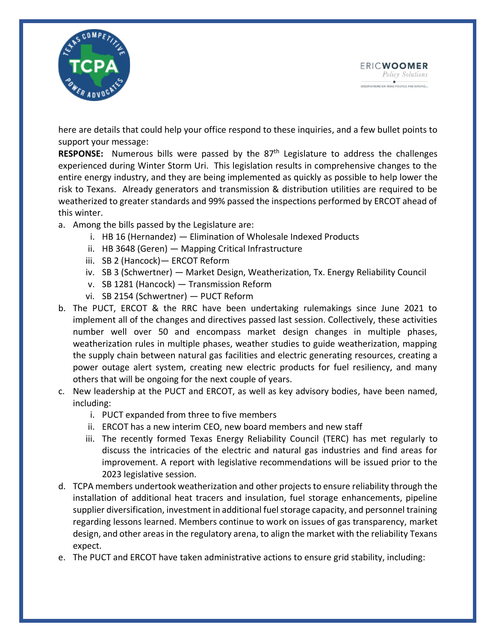

**ERICWOOMER** Policy Solutions OBSERVATIONS ON TEXAS POLITICS AND BEYOND.

here are details that could help your office respond to these inquiries, and a few bullet points to support your message:

**RESPONSE:** Numerous bills were passed by the 87th Legislature to address the challenges experienced during Winter Storm Uri. This legislation results in comprehensive changes to the entire energy industry, and they are being implemented as quickly as possible to help lower the risk to Texans. Already generators and transmission & distribution utilities are required to be weatherized to greater standards and 99% passed the inspections performed by ERCOT ahead of this winter.

- a. Among the bills passed by the Legislature are:
	- i. HB 16 (Hernandez) Elimination of Wholesale Indexed Products
	- ii. HB 3648 (Geren) Mapping Critical Infrastructure
	- iii. SB 2 (Hancock)— ERCOT Reform
	- iv. SB 3 (Schwertner) Market Design, Weatherization, Tx. Energy Reliability Council
	- v. SB 1281 (Hancock) Transmission Reform
	- vi. SB 2154 (Schwertner) PUCT Reform
- b. The PUCT, ERCOT & the RRC have been undertaking rulemakings since June 2021 to implement all of the changes and directives passed last session. Collectively, these activities number well over 50 and encompass market design changes in multiple phases, weatherization rules in multiple phases, weather studies to guide weatherization, mapping the supply chain between natural gas facilities and electric generating resources, creating a power outage alert system, creating new electric products for fuel resiliency, and many others that will be ongoing for the next couple of years.
- c. New leadership at the PUCT and ERCOT, as well as key advisory bodies, have been named, including:
	- i. PUCT expanded from three to five members
	- ii. ERCOT has a new interim CEO, new board members and new staff
	- iii. The recently formed Texas Energy Reliability Council (TERC) has met regularly to discuss the intricacies of the electric and natural gas industries and find areas for improvement. A report with legislative recommendations will be issued prior to the 2023 legislative session.
- d. TCPA members undertook weatherization and other projects to ensure reliability through the installation of additional heat tracers and insulation, fuel storage enhancements, pipeline supplier diversification, investment in additional fuel storage capacity, and personnel training regarding lessons learned. Members continue to work on issues of gas transparency, market design, and other areas in the regulatory arena, to align the market with the reliability Texans expect.
- e. The PUCT and ERCOT have taken administrative actions to ensure grid stability, including: